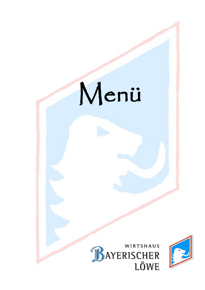# Menü



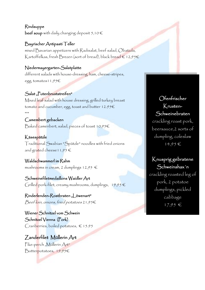Rindsuppe beef soup with daily changing deposit  $5,10 \in$ 

### Bayrischer Antipasti Teller

mixed Bavarian appetizers with Radisalat, beef salad, Obatzda, Kartoffelkas, fresh Brezen (sort of bread), black bread  $\in$  12,95 $\in$ 

# Niedermayergarten-Salatplatte

different salads with house-dressing, ham, cheese-stripes, egg, tomatos11,95€

# Salat "Putenbruststreifen"

Mixed leaf salad with house dressing, grilled turkey breast tomato and cucumber, egg, toast and butter 12.95 $\in$ \*\*\*

# Camembert gebacken

Baked camenbert, salad, pieces of toast 10,95€

# Käsespätzle

Traditional Swabian "Spätzle" noodles with fried onions and grated cheese 11,95  $\in$ 

# Waldschwammerl im Rahm

mushrooms in cream, 2 dumplings  $12,95 \in$ 

# Schweinefiletmedaillons Waidler Art

Grilled pork-filet, creamy mushrooms, dumplings,  $19,95 \in$ 

Rinderlenden-Rostbraten "Löwenart" Beef loin, onions, fried potatoes 21,95€

Wiener Schnitzel vom Schwein Schnitzel Vienna (Pork) Cranberries, boiled potatoes,  $\in$  15.95

# Zanderfilet Müllerin Art

Pike-perch "Müllerin Art" Butterpotatoes, 19,95€

# Ofenfrischer Krusten-

Schweinebraten

crackling roast pork, beersauce,2 sorts of dumpling, coleslaw 14,95 €

# Knusprig gebratene Schweinshax´n

crackling roasted leg of pork, 2 potatoe dumplings, pickled cabbage 17,95 €

ı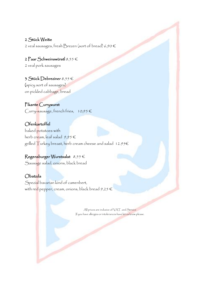### 2 Stück Weiße

2 veal sausages, fresh Brezen (sort of bread) 6,90 €

2 Paar Schweinswürstl 8,55 € 2 veal pork sausages

3 Stück Debreziner 8,55 € (spicy sort of sausages) on pickled cabbage, bread

Pikante Currywurst Curry-sausage, french fries,  $10,95 \in$ 

Ofenkartoffel baked potatoes with herb cream, leaf salad  $9,95 \in$ grilled Turkey breast, herb cream cheese and salad  $12.956$ 

# Regensburger Wurstsalat 8,55 €

Sausage salad, onions, black bread

### Obatzda

Spezial bavarian kind of camenbert, with red pepper, cream, onions, black bread  $9,25 \in$ 

> All prices are inclusive of VAT. and Service If you have allergies or intolerances have let us know please.